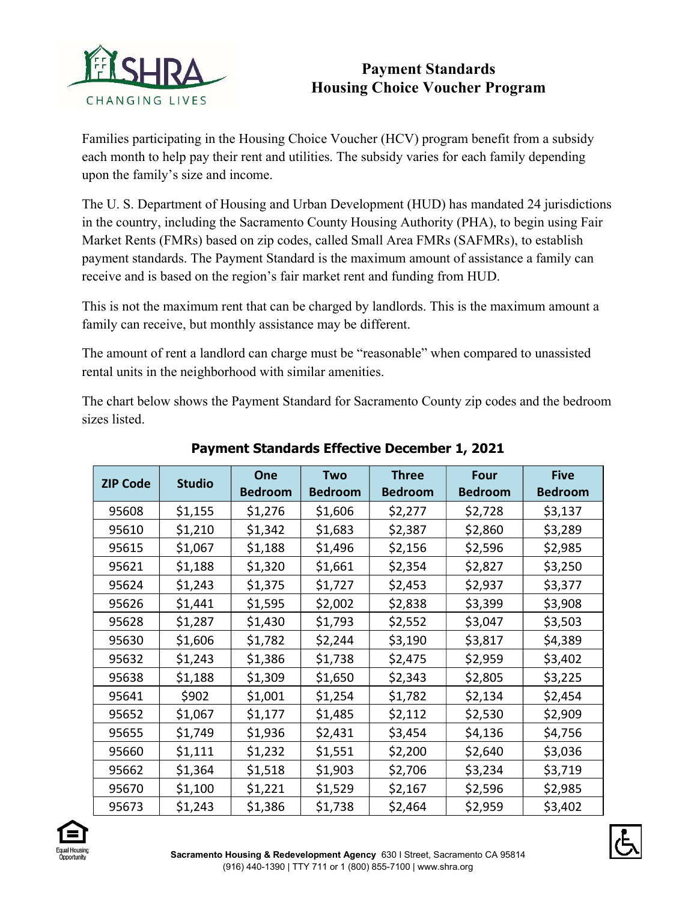

## Payment Standards Housing Choice Voucher Program

Families participating in the Housing Choice Voucher (HCV) program benefit from a subsidy each month to help pay their rent and utilities. The subsidy varies for each family depending upon the family's size and income.

The U. S. Department of Housing and Urban Development (HUD) has mandated 24 jurisdictions in the country, including the Sacramento County Housing Authority (PHA), to begin using Fair Market Rents (FMRs) based on zip codes, called Small Area FMRs (SAFMRs), to establish payment standards. The Payment Standard is the maximum amount of assistance a family can receive and is based on the region's fair market rent and funding from HUD.

This is not the maximum rent that can be charged by landlords. This is the maximum amount a family can receive, but monthly assistance may be different.

The amount of rent a landlord can charge must be "reasonable" when compared to unassisted rental units in the neighborhood with similar amenities.

The chart below shows the Payment Standard for Sacramento County zip codes and the bedroom sizes listed.

| <b>ZIP Code</b> | <b>Studio</b> | <b>One</b>     | Two            | <b>Three</b>   | Four           | <b>Five</b>    |
|-----------------|---------------|----------------|----------------|----------------|----------------|----------------|
|                 |               | <b>Bedroom</b> | <b>Bedroom</b> | <b>Bedroom</b> | <b>Bedroom</b> | <b>Bedroom</b> |
| 95608           | \$1,155       | \$1,276        | \$1,606        | \$2,277        | \$2,728        | \$3,137        |
| 95610           | \$1,210       | \$1,342        | \$1,683        | \$2,387        | \$2,860        | \$3,289        |
| 95615           | \$1,067       | \$1,188        | \$1,496        | \$2,156        | \$2,596        | \$2,985        |
| 95621           | \$1,188       | \$1,320        | \$1,661        | \$2,354        | \$2,827        | \$3,250        |
| 95624           | \$1,243       | \$1,375        | \$1,727        | \$2,453        | \$2,937        | \$3,377        |
| 95626           | \$1,441       | \$1,595        | \$2,002        | \$2,838        | \$3,399        | \$3,908        |
| 95628           | \$1,287       | \$1,430        | \$1,793        | \$2,552        | \$3,047        | \$3,503        |
| 95630           | \$1,606       | \$1,782        | \$2,244        | \$3,190        | \$3,817        | \$4,389        |
| 95632           | \$1,243       | \$1,386        | \$1,738        | \$2,475        | \$2,959        | \$3,402        |
| 95638           | \$1,188       | \$1,309        | \$1,650        | \$2,343        | \$2,805        | \$3,225        |
| 95641           | \$902         | \$1,001        | \$1,254        | \$1,782        | \$2,134        | \$2,454        |
| 95652           | \$1,067       | \$1,177        | \$1,485        | \$2,112        | \$2,530        | \$2,909        |
| 95655           | \$1,749       | \$1,936        | \$2,431        | \$3,454        | \$4,136        | \$4,756        |
| 95660           | \$1,111       | \$1,232        | \$1,551        | \$2,200        | \$2,640        | \$3,036        |
| 95662           | \$1,364       | \$1,518        | \$1,903        | \$2,706        | \$3,234        | \$3,719        |
| 95670           | \$1,100       | \$1,221        | \$1,529        | \$2,167        | \$2,596        | \$2,985        |
| 95673           | \$1,243       | \$1,386        | \$1,738        | \$2,464        | \$2,959        | \$3,402        |

## Payment Standards Effective December 1, 2021